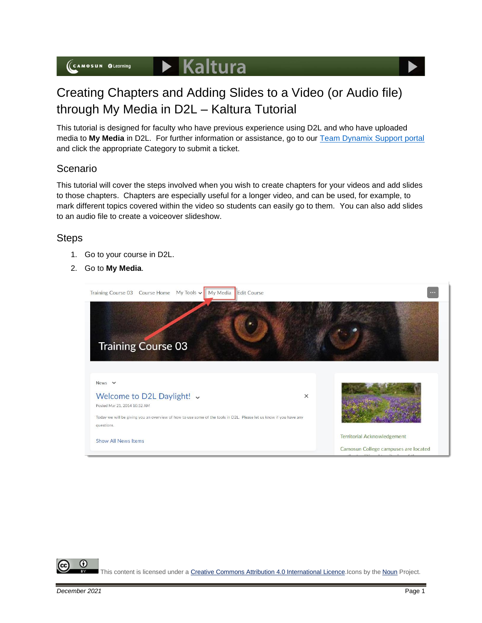

## Creating Chapters and Adding Slides to a Video (or Audio file) through My Media in D2L – Kaltura Tutorial

This tutorial is designed for faculty who have previous experience using D2L and who have uploaded media to **My Media** in D2L. For further information or assistance, go to our [Team Dynamix Support portal](https://camosun.teamdynamix.com/TDClient/67/Portal/Requests/ServiceCatalog?CategoryID=523) and click the appropriate Category to submit a ticket.

## Scenario

This tutorial will cover the steps involved when you wish to create chapters for your videos and add slides to those chapters. Chapters are especially useful for a longer video, and can be used, for example, to mark different topics covered within the video so students can easily go to them. You can also add slides to an audio file to create a voiceover slideshow.

## **Steps**

- 1. Go to your course in D2L.
- 2. Go to **My Media**.



This content is licensed under [a Creative Commons Attribution 4.0 International Licence.I](https://creativecommons.org/licenses/by/4.0/)cons by the [Noun](https://creativecommons.org/website-icons/) Project.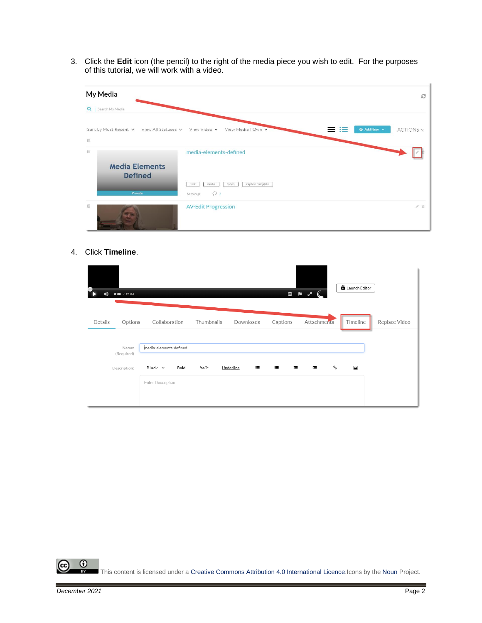3. Click the **Edit** icon (the pencil) to the right of the media piece you wish to edit. For the purposes of this tutorial, we will work with a video.

| My Media                                                                       |                                                                                                | $\mathbb{C}^2$                  |
|--------------------------------------------------------------------------------|------------------------------------------------------------------------------------------------|---------------------------------|
| Q   Search My Media                                                            |                                                                                                |                                 |
| Sort by Most Recent v View All Statuses v View Video v View Media I Own v<br>画 |                                                                                                | <b>O</b> Add New v<br>ACTIONS ~ |
| 69<br><b>Media Elements</b><br><b>Defined</b><br>Private                       | media-elements-defined<br>video<br>caption complete<br>media<br>test<br>$\circ$<br>An hour ago |                                 |
|                                                                                | <b>AV-Edit Progression</b>                                                                     | 10                              |

4. Click **Timeline**.

| Г<br>41) | $0:00$ / 12:04      |                        |      |            |           |           |          |   | $\begin{array}{ccc} \circ & \bullet & \bullet & \bullet & \bullet \end{array}$ |            | <b>D</b> Launch Editor |               |  |
|----------|---------------------|------------------------|------|------------|-----------|-----------|----------|---|--------------------------------------------------------------------------------|------------|------------------------|---------------|--|
| Details  | Options             | Collaboration          |      | Thumbnails |           | Downloads | Captions |   | Attachments                                                                    |            | Timeline               | Replace Video |  |
|          | Name:<br>(Required) | media-elements-defined |      |            |           |           |          |   |                                                                                |            |                        |               |  |
|          | Description:        | Black v                | Bold | Italic     | Underline | 津         | 這        | 疆 | Σ.                                                                             | $^{\circ}$ | $\blacksquare$         |               |  |
|          |                     | Enter Description      |      |            |           |           |          |   |                                                                                |            |                        |               |  |
|          |                     |                        |      |            |           |           |          |   |                                                                                |            |                        |               |  |

 $\overline{\odot}$ (cc This content is licensed under [a Creative Commons Attribution 4.0 International Licence.I](https://creativecommons.org/licenses/by/4.0/)cons by the [Noun](https://creativecommons.org/website-icons/) Project.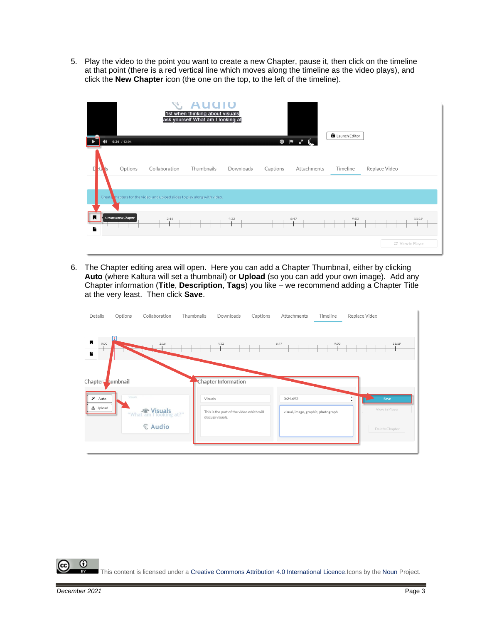5. Play the video to the point you want to create a new Chapter, pause it, then click on the timeline at that point (there is a red vertical line which moves along the timeline as the video plays), and click the **New Chapter** icon (the one on the top, to the left of the timeline).



6. The Chapter editing area will open. Here you can add a Chapter Thumbnail, either by clicking **Auto** (where Kaltura will set a thumbnail) or **Upload** (so you can add your own image). Add any Chapter information (**Title**, **Description**, **Tags**) you like – we recommend adding a Chapter Title at the very least. Then click **Save**.



 $\odot$ This content is licensed under [a Creative Commons Attribution 4.0 International Licence.I](https://creativecommons.org/licenses/by/4.0/)cons by the [Noun](https://creativecommons.org/website-icons/) Project.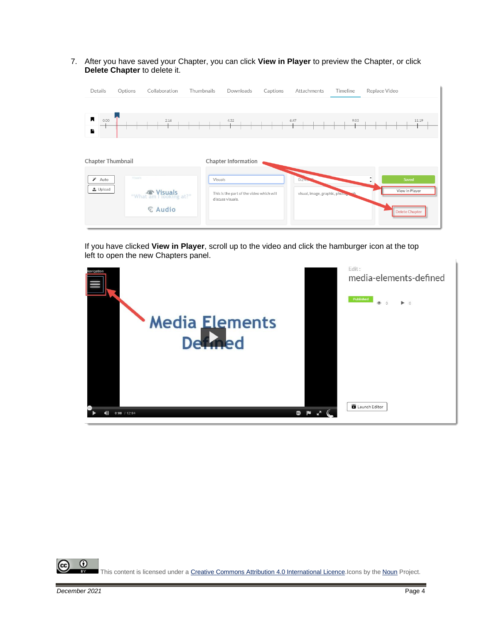7. After you have saved your Chapter, you can click **View in Player** to preview the Chapter, or click **Delete Chapter** to delete it.



If you have clicked **View in Player**, scroll up to the video and click the hamburger icon at the top left to open the new Chapters panel.



 $\odot$ This content is licensed under [a Creative Commons Attribution 4.0 International Licence.I](https://creativecommons.org/licenses/by/4.0/)cons by the [Noun](https://creativecommons.org/website-icons/) Project.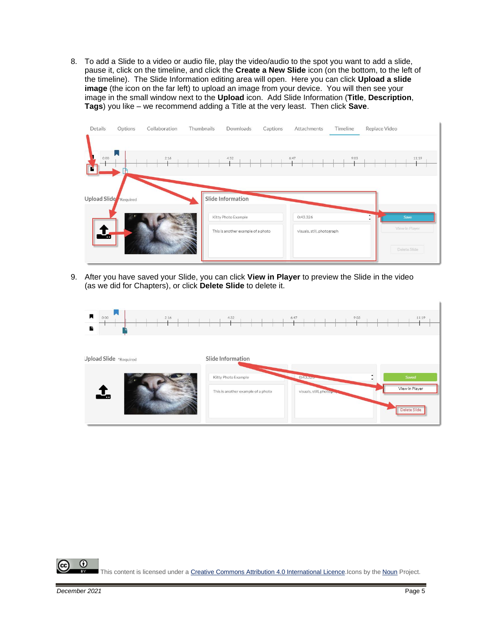8. To add a Slide to a video or audio file, play the video/audio to the spot you want to add a slide, pause it, click on the timeline, and click the **Create a New Slide** icon (on the bottom, to the left of the timeline). The Slide Information editing area will open. Here you can click **Upload a slide image** (the icon on the far left) to upload an image from your device. You will then see your image in the small window next to the **Upload** icon. Add Slide Information (**Title**, **Description**, **Tags**) you like – we recommend adding a Title at the very least. Then click **Save**.

| Details               | Options | Collaboration | Thumbnails | Downloads                                | Captions | Attachments                | Timeline | Replace Video               |
|-----------------------|---------|---------------|------------|------------------------------------------|----------|----------------------------|----------|-----------------------------|
| 0:00<br>n             |         | 2:16          |            | 4:32                                     |          | 6:47                       | 9:03     | 11:19                       |
| Upload Slide Required |         |               |            | Slide Information<br>Kitty Photo Example |          | 0:43.326                   |          | Save<br>۷<br>View in Player |
| ÷                     |         |               |            | This is another example of a photo       |          | visuals, still, photograph |          | Delete Slide                |

9. After you have saved your Slide, you can click **View in Player** to preview the Slide in the video (as we did for Chapters), or click **Delete Slide** to delete it.